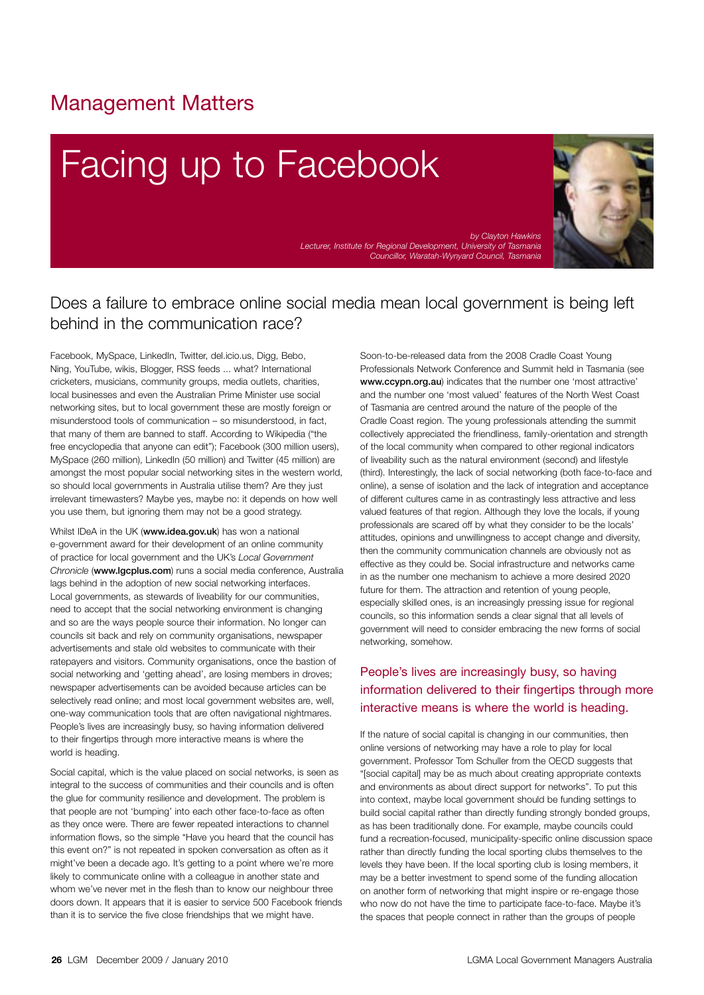# Management Matters

# Facing up to Facebook



*by Clayton Hawkins Lecturer, Institute for Regional Development, University of Tasmania Councillor, Waratah-Wynyard Council, Tasmania* 

## Does a failure to embrace online social media mean local government is being left behind in the communication race?

Facebook, MySpace, LinkedIn, Twitter, del.icio.us, Digg, Bebo, Ning, YouTube, wikis, Blogger, RSS feeds ... what? International cricketers, musicians, community groups, media outlets, charities, local businesses and even the Australian Prime Minister use social networking sites, but to local government these are mostly foreign or misunderstood tools of communication – so misunderstood, in fact, that many of them are banned to staff. According to Wikipedia ("the free encyclopedia that anyone can edit"); Facebook (300 million users), MySpace (260 million), LinkedIn (50 million) and Twitter (45 million) are amongst the most popular social networking sites in the western world, so should local governments in Australia utilise them? Are they just irrelevant timewasters? Maybe yes, maybe no: it depends on how well you use them, but ignoring them may not be a good strategy.

Whilst IDeA in the UK (www.idea.gov.uk) has won a national e-government award for their development of an online community of practice for local government and the UK's *Local Government Chronicle* (www.lgcplus.com) runs a social media conference, Australia lags behind in the adoption of new social networking interfaces. Local governments, as stewards of liveability for our communities, need to accept that the social networking environment is changing and so are the ways people source their information. No longer can councils sit back and rely on community organisations, newspaper advertisements and stale old websites to communicate with their ratepayers and visitors. Community organisations, once the bastion of social networking and 'getting ahead', are losing members in droves; newspaper advertisements can be avoided because articles can be selectively read online; and most local government websites are, well, one-way communication tools that are often navigational nightmares. People's lives are increasingly busy, so having information delivered to their fingertips through more interactive means is where the world is heading.

Social capital, which is the value placed on social networks, is seen as integral to the success of communities and their councils and is often the glue for community resilience and development. The problem is that people are not 'bumping' into each other face-to-face as often as they once were. There are fewer repeated interactions to channel information flows, so the simple "Have you heard that the council has this event on?" is not repeated in spoken conversation as often as it might've been a decade ago. It's getting to a point where we're more likely to communicate online with a colleague in another state and whom we've never met in the flesh than to know our neighbour three doors down. It appears that it is easier to service 500 Facebook friends than it is to service the five close friendships that we might have.

Soon-to-be-released data from the 2008 Cradle Coast Young Professionals Network Conference and Summit held in Tasmania (see www.ccypn.org.au) indicates that the number one 'most attractive' and the number one 'most valued' features of the North West Coast of Tasmania are centred around the nature of the people of the Cradle Coast region. The young professionals attending the summit collectively appreciated the friendliness, family-orientation and strength of the local community when compared to other regional indicators of liveability such as the natural environment (second) and lifestyle (third). Interestingly, the lack of social networking (both face-to-face and online), a sense of isolation and the lack of integration and acceptance of different cultures came in as contrastingly less attractive and less valued features of that region. Although they love the locals, if young professionals are scared off by what they consider to be the locals' attitudes, opinions and unwillingness to accept change and diversity, then the community communication channels are obviously not as effective as they could be. Social infrastructure and networks came in as the number one mechanism to achieve a more desired 2020 future for them. The attraction and retention of young people, especially skilled ones, is an increasingly pressing issue for regional councils, so this information sends a clear signal that all levels of government will need to consider embracing the new forms of social networking, somehow.

### People's lives are increasingly busy, so having information delivered to their fingertips through more interactive means is where the world is heading.

If the nature of social capital is changing in our communities, then online versions of networking may have a role to play for local government. Professor Tom Schuller from the OECD suggests that "[social capital] may be as much about creating appropriate contexts and environments as about direct support for networks". To put this into context, maybe local government should be funding settings to build social capital rather than directly funding strongly bonded groups, as has been traditionally done. For example, maybe councils could fund a recreation-focused, municipality-specific online discussion space rather than directly funding the local sporting clubs themselves to the levels they have been. If the local sporting club is losing members, it may be a better investment to spend some of the funding allocation on another form of networking that might inspire or re-engage those who now do not have the time to participate face-to-face. Maybe it's the spaces that people connect in rather than the groups of people